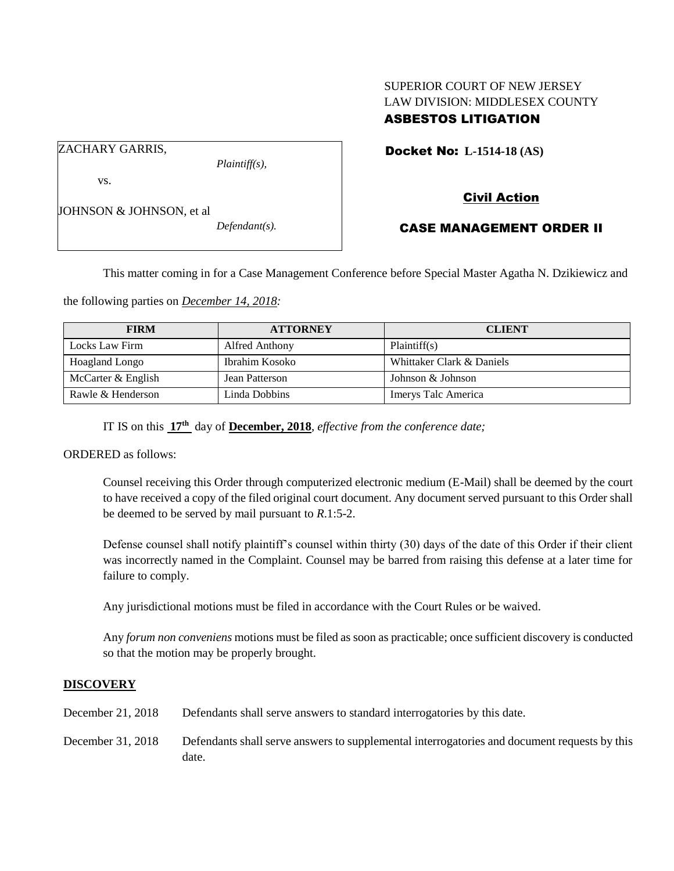# SUPERIOR COURT OF NEW JERSEY LAW DIVISION: MIDDLESEX COUNTY ASBESTOS LITIGATION

Docket No: **L-1514-18 (AS)** 

ZACHARY GARRIS,

vs.

*Plaintiff(s),*

Civil Action

JOHNSON & JOHNSON, et al

*Defendant(s).*

CASE MANAGEMENT ORDER II

This matter coming in for a Case Management Conference before Special Master Agatha N. Dzikiewicz and

the following parties on *December 14, 2018:*

| <b>FIRM</b>        | <b>ATTORNEY</b> | <b>CLIENT</b>             |
|--------------------|-----------------|---------------------------|
| Locks Law Firm     | Alfred Anthony  | Plaintiff(s)              |
| Hoagland Longo     | Ibrahim Kosoko  | Whittaker Clark & Daniels |
| McCarter & English | Jean Patterson  | Johnson & Johnson         |
| Rawle & Henderson  | Linda Dobbins   | Imerys Talc America       |

IT IS on this **17 th** day of **December, 2018**, *effective from the conference date;*

ORDERED as follows:

Counsel receiving this Order through computerized electronic medium (E-Mail) shall be deemed by the court to have received a copy of the filed original court document. Any document served pursuant to this Order shall be deemed to be served by mail pursuant to *R*.1:5-2.

Defense counsel shall notify plaintiff's counsel within thirty (30) days of the date of this Order if their client was incorrectly named in the Complaint. Counsel may be barred from raising this defense at a later time for failure to comply.

Any jurisdictional motions must be filed in accordance with the Court Rules or be waived.

Any *forum non conveniens* motions must be filed as soon as practicable; once sufficient discovery is conducted so that the motion may be properly brought.

## **DISCOVERY**

| December 21, 2018 | Defendants shall serve answers to standard interrogatories by this date.                              |
|-------------------|-------------------------------------------------------------------------------------------------------|
| December 31, 2018 | Defendants shall serve answers to supplemental interrogatories and document requests by this<br>date. |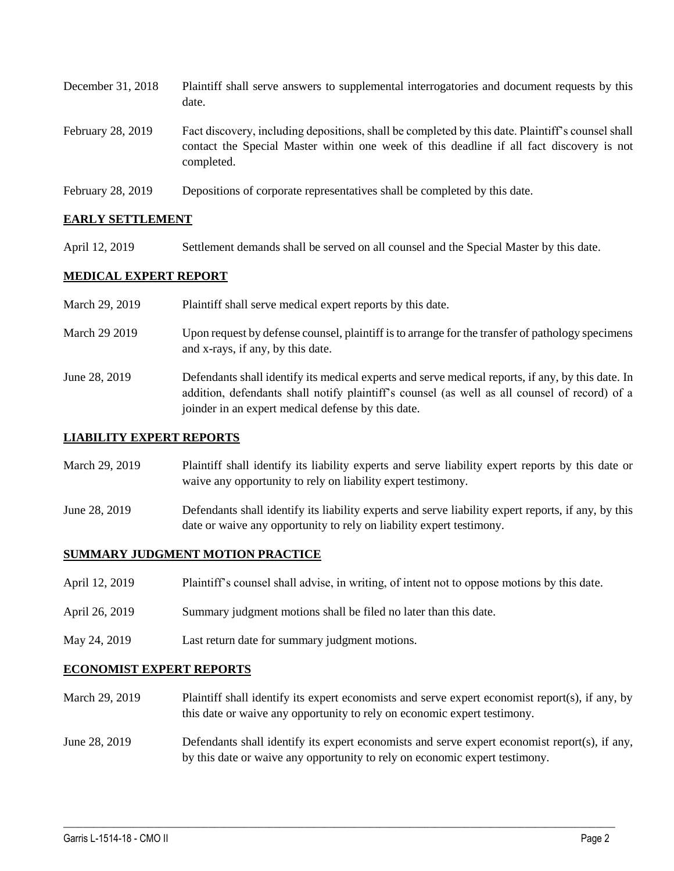| December 31, 2018 | Plaintiff shall serve answers to supplemental interrogatories and document requests by this<br>date.                                                                                                        |
|-------------------|-------------------------------------------------------------------------------------------------------------------------------------------------------------------------------------------------------------|
| February 28, 2019 | Fact discovery, including depositions, shall be completed by this date. Plaintiff's counsel shall<br>contact the Special Master within one week of this deadline if all fact discovery is not<br>completed. |
| February 28, 2019 | Depositions of corporate representatives shall be completed by this date.                                                                                                                                   |

## **EARLY SETTLEMENT**

April 12, 2019 Settlement demands shall be served on all counsel and the Special Master by this date.

## **MEDICAL EXPERT REPORT**

| March 29, 2019 | Plaintiff shall serve medical expert reports by this date.                                                                                                                                         |
|----------------|----------------------------------------------------------------------------------------------------------------------------------------------------------------------------------------------------|
| March 29 2019  | Upon request by defense counsel, plaintiff is to arrange for the transfer of pathology specimens<br>and x-rays, if any, by this date.                                                              |
| June 28, 2019  | Defendants shall identify its medical experts and serve medical reports, if any, by this date. In<br>addition, defendants shall notify plaintiff's counsel (as well as all counsel of record) of a |

joinder in an expert medical defense by this date.

# **LIABILITY EXPERT REPORTS**

- March 29, 2019 Plaintiff shall identify its liability experts and serve liability expert reports by this date or waive any opportunity to rely on liability expert testimony.
- June 28, 2019 Defendants shall identify its liability experts and serve liability expert reports, if any, by this date or waive any opportunity to rely on liability expert testimony.

### **SUMMARY JUDGMENT MOTION PRACTICE**

- April 12, 2019 Plaintiff's counsel shall advise, in writing, of intent not to oppose motions by this date.
- April 26, 2019 Summary judgment motions shall be filed no later than this date.
- May 24, 2019 Last return date for summary judgment motions.

### **ECONOMIST EXPERT REPORTS**

- March 29, 2019 Plaintiff shall identify its expert economists and serve expert economist report(s), if any, by this date or waive any opportunity to rely on economic expert testimony.
- June 28, 2019 Defendants shall identify its expert economists and serve expert economist report(s), if any, by this date or waive any opportunity to rely on economic expert testimony.

 $\_$  ,  $\_$  ,  $\_$  ,  $\_$  ,  $\_$  ,  $\_$  ,  $\_$  ,  $\_$  ,  $\_$  ,  $\_$  ,  $\_$  ,  $\_$  ,  $\_$  ,  $\_$  ,  $\_$  ,  $\_$  ,  $\_$  ,  $\_$  ,  $\_$  ,  $\_$  ,  $\_$  ,  $\_$  ,  $\_$  ,  $\_$  ,  $\_$  ,  $\_$  ,  $\_$  ,  $\_$  ,  $\_$  ,  $\_$  ,  $\_$  ,  $\_$  ,  $\_$  ,  $\_$  ,  $\_$  ,  $\_$  ,  $\_$  ,